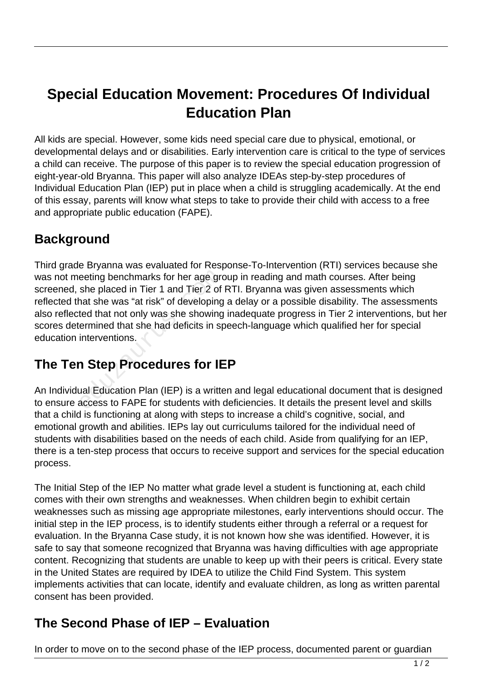# **Special Education Movement: Procedures Of Individual Education Plan**

All kids are special. However, some kids need special care due to physical, emotional, or developmental delays and or disabilities. Early intervention care is critical to the type of services a child can receive. The purpose of this paper is to review the special education progression of eight-year-old Bryanna. This paper will also analyze IDEAs step-by-step procedures of Individual Education Plan (IEP) put in place when a child is struggling academically. At the end of this essay, parents will know what steps to take to provide their child with access to a free and appropriate public education (FAPE).

## **Background**

Third grade Bryanna was evaluated for Response-To-Intervention (RTI) services because she was not meeting benchmarks for her age group in reading and math courses. After being screened, she placed in Tier 1 and Tier 2 of RTI. Bryanna was given assessments which reflected that she was "at risk" of developing a delay or a possible disability. The assessments also reflected that not only was she showing inadequate progress in Tier 2 interventions, but her scores determined that she had deficits in speech-language which qualified her for special education interventions. eeting benchmarks for her age groshe placed in Tier 1 and Tier 2 of<br>nat she was "at risk" of developing<br>ted that not only was she showing<br>ermined that she had deficits in sp<br>interventions.<br>**1 Step Procedures for IE**<br>ual Ed

# **The Ten Step Procedures for IEP**

An Individual Education Plan (IEP) is a written and legal educational document that is designed to ensure access to FAPE for students with deficiencies. It details the present level and skills that a child is functioning at along with steps to increase a child's cognitive, social, and emotional growth and abilities. IEPs lay out curriculums tailored for the individual need of students with disabilities based on the needs of each child. Aside from qualifying for an IEP, there is a ten-step process that occurs to receive support and services for the special education process.

The Initial Step of the IEP No matter what grade level a student is functioning at, each child comes with their own strengths and weaknesses. When children begin to exhibit certain weaknesses such as missing age appropriate milestones, early interventions should occur. The initial step in the IEP process, is to identify students either through a referral or a request for evaluation. In the Bryanna Case study, it is not known how she was identified. However, it is safe to say that someone recognized that Bryanna was having difficulties with age appropriate content. Recognizing that students are unable to keep up with their peers is critical. Every state in the United States are required by IDEA to utilize the Child Find System. This system implements activities that can locate, identify and evaluate children, as long as written parental consent has been provided.

#### **The Second Phase of IEP – Evaluation**

In order to move on to the second phase of the IEP process, documented parent or guardian